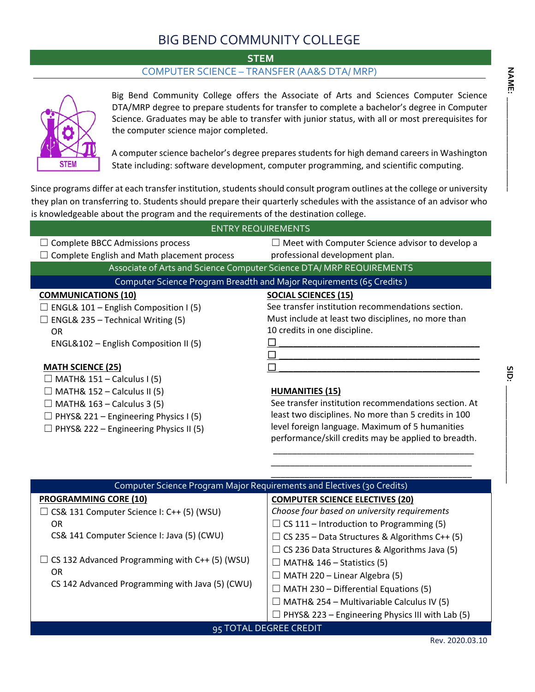## BIG BEND COMMUNITY COLLEGE

**STEM** 

## COMPUTER SCIENCE – TRANSFER (AA&S DTA/ MRP)



Big Bend Community College offers the Associate of Arts and Sciences Computer Science DTA/MRP degree to prepare students for transfer to complete a bachelor's degree in Computer Science. Graduates may be able to transfer with junior status, with all or most prerequisites for the computer science major completed.

A computer science bachelor's degree prepares students for high demand careers in Washington State including: software development, computer programming, and scientific computing.

Since programs differ at each transfer institution, students should consult program outlines at the college or university they plan on transferring to. Students should prepare their quarterly schedules with the assistance of an advisor who is knowledgeable about the program and the requirements of the destination college.

| <b>ENTRY REQUIREMENTS</b>                          |                                                                      |  |  |  |
|----------------------------------------------------|----------------------------------------------------------------------|--|--|--|
| <b>Complete BBCC Admissions process</b>            | $\Box$ Meet with Computer Science advisor to develop a               |  |  |  |
| $\Box$ Complete English and Math placement process | professional development plan.                                       |  |  |  |
|                                                    | Associate of Arts and Science Computer Science DTA/ MRP REQUIREMENTS |  |  |  |
|                                                    | Computer Science Program Breadth and Major Requirements (65 Credits) |  |  |  |
| <b>COMMUNICATIONS (10)</b>                         | <b>SOCIAL SCIENCES (15)</b>                                          |  |  |  |
| $\Box$ ENGL& 101 – English Composition I (5)       | See transfer institution recommendations section.                    |  |  |  |
| ENGL& 235 - Technical Writing (5)                  | Must include at least two disciplines, no more than                  |  |  |  |
| 0R                                                 | 10 credits in one discipline.                                        |  |  |  |
| ENGL&102 – English Composition II (5)              |                                                                      |  |  |  |
|                                                    |                                                                      |  |  |  |
| <b>MATH SCIENCE (25)</b>                           |                                                                      |  |  |  |
| $\Box$ MATH& 151 – Calculus I (5)                  |                                                                      |  |  |  |
| $\Box$ MATH& 152 – Calculus II (5)                 | <b>HUMANITIES (15)</b>                                               |  |  |  |
| $\Box$ MATH& 163 – Calculus 3 (5)                  | See transfer institution recommendations section. At                 |  |  |  |
| $\Box$ PHYS& 221 – Engineering Physics I (5)       | least two disciplines. No more than 5 credits in 100                 |  |  |  |
| $\Box$ PHYS& 222 – Engineering Physics II (5)      | level foreign language. Maximum of 5 humanities                      |  |  |  |

| Computer Science Program Major Requirements and Electives (30 Credits) |                                                      |  |  |  |
|------------------------------------------------------------------------|------------------------------------------------------|--|--|--|
| <b>PROGRAMMING CORE (10)</b>                                           | <b>COMPUTER SCIENCE ELECTIVES (20)</b>               |  |  |  |
| $\Box$ CS& 131 Computer Science I: C++ (5) (WSU)                       | Choose four based on university requirements         |  |  |  |
| <b>OR</b>                                                              | $\Box$ CS 111 – Introduction to Programming (5)      |  |  |  |
| CS& 141 Computer Science I: Java (5) (CWU)                             | $\Box$ CS 235 – Data Structures & Algorithms C++ (5) |  |  |  |
|                                                                        | $\Box$ CS 236 Data Structures & Algorithms Java (5)  |  |  |  |
| $\Box$ CS 132 Advanced Programming with C++ (5) (WSU)                  | MATH& 146 – Statistics (5)                           |  |  |  |
| 0R                                                                     | $\Box$ MATH 220 – Linear Algebra (5)                 |  |  |  |
| CS 142 Advanced Programming with Java (5) (CWU)                        | MATH 230 - Differential Equations (5)                |  |  |  |
|                                                                        | MATH& 254 - Multivariable Calculus IV (5)            |  |  |  |
|                                                                        | PHYS& 223 - Engineering Physics III with Lab (5)     |  |  |  |
| 95 TOTAL DEGREE CREDIT                                                 |                                                      |  |  |  |

**SID:** 

Rev. 2020.03.10

performance/skill credits may be applied to breadth. \_\_\_\_\_\_\_\_\_\_\_\_\_\_\_\_\_\_\_\_\_\_\_\_\_\_\_\_\_\_\_\_\_\_\_\_\_\_\_\_\_\_ \_\_\_\_\_\_\_\_\_\_\_\_\_\_\_\_\_\_\_\_\_\_\_\_\_\_\_\_\_\_\_\_\_\_\_\_\_\_\_\_\_\_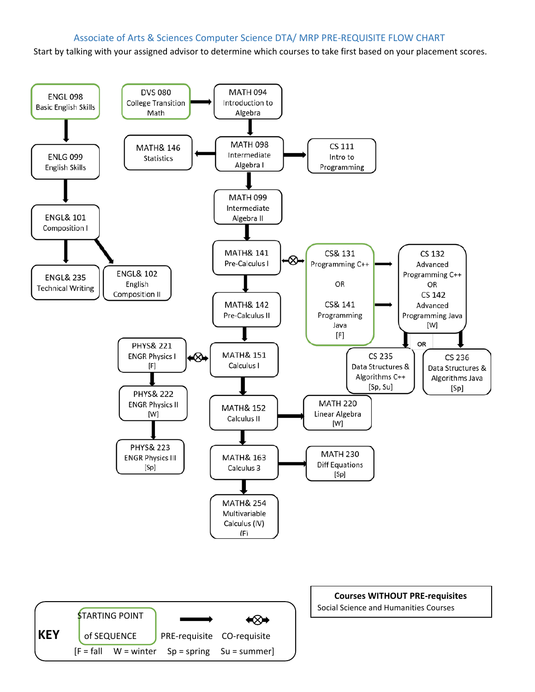## Associate of Arts & Sciences Computer Science DTA/ MRP PRE-REQUISITE FLOW CHART

Start by talking with your assigned advisor to determine which courses to take first based on your placement scores.

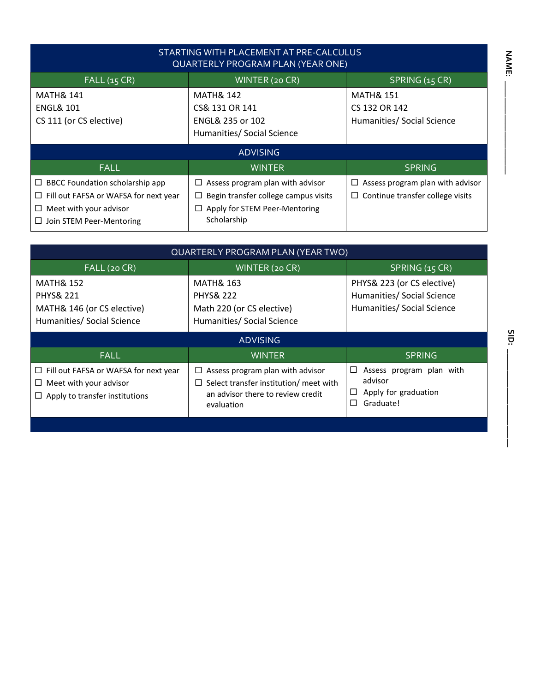| STARTING WITH PLACEMENT AT PRE-CALCULUS<br><b>QUARTERLY PROGRAM PLAN (YEAR ONE)</b>                                                                                            |                                                                                                                                               |                                                                                  |  |  |  |
|--------------------------------------------------------------------------------------------------------------------------------------------------------------------------------|-----------------------------------------------------------------------------------------------------------------------------------------------|----------------------------------------------------------------------------------|--|--|--|
| FALL(15 CR)                                                                                                                                                                    | WINTER (20 CR)                                                                                                                                | SPRING (15 CR)                                                                   |  |  |  |
| <b>MATH&amp; 141</b><br><b>MATH&amp; 142</b><br>CS& 131 OR 141<br><b>ENGL&amp; 101</b><br>CS 111 (or CS elective)<br><b>ENGL&amp; 235 or 102</b><br>Humanities/ Social Science |                                                                                                                                               | <b>MATH&amp; 151</b><br>CS 132 OR 142<br>Humanities/ Social Science              |  |  |  |
|                                                                                                                                                                                | <b>ADVISING</b>                                                                                                                               |                                                                                  |  |  |  |
| <b>FALL</b>                                                                                                                                                                    | <b>WINTER</b>                                                                                                                                 | <b>SPRING</b>                                                                    |  |  |  |
| $\Box$ BBCC Foundation scholarship app<br>$\Box$ Fill out FAFSA or WAFSA for next year<br>$\Box$ Meet with your advisor<br>$\Box$ Join STEM Peer-Mentoring                     | $\Box$ Assess program plan with advisor<br>$\Box$ Begin transfer college campus visits<br>$\Box$ Apply for STEM Peer-Mentoring<br>Scholarship | Assess program plan with advisor<br>□<br>$\Box$ Continue transfer college visits |  |  |  |

| <b>QUARTERLY PROGRAM PLAN (YEAR TWO)</b>                                                                             |                                                                                                                                         |                                                                               |  |  |  |
|----------------------------------------------------------------------------------------------------------------------|-----------------------------------------------------------------------------------------------------------------------------------------|-------------------------------------------------------------------------------|--|--|--|
| FALL (20 CR)                                                                                                         | WINTER (20 CR)                                                                                                                          | SPRING (15 CR)                                                                |  |  |  |
| <b>MATH&amp; 152</b><br><b>PHYS&amp; 221</b><br>MATH& 146 (or CS elective)<br>Humanities/ Social Science             | <b>MATH&amp; 163</b><br><b>PHYS&amp; 222</b><br>Math 220 (or CS elective)<br>Humanities/ Social Science                                 |                                                                               |  |  |  |
|                                                                                                                      | <b>ADVISING</b>                                                                                                                         |                                                                               |  |  |  |
| <b>FALL</b>                                                                                                          | <b>WINTER</b>                                                                                                                           | <b>SPRING</b>                                                                 |  |  |  |
| $\Box$ Fill out FAFSA or WAFSA for next year<br>Meet with your advisor<br>ப<br>$\Box$ Apply to transfer institutions | Assess program plan with advisor<br>ப<br>Select transfer institution/ meet with<br>⊔<br>an advisor there to review credit<br>evaluation | Assess program plan with<br>□<br>advisor<br>Apply for graduation<br>Graduate! |  |  |  |

**SID:** 

**NAME: \_\_\_\_\_\_\_\_\_\_\_\_\_\_\_\_\_\_\_\_\_\_\_ NAME: \_\_\_\_\_\_\_\_\_\_\_\_\_\_\_\_\_\_\_\_\_\_**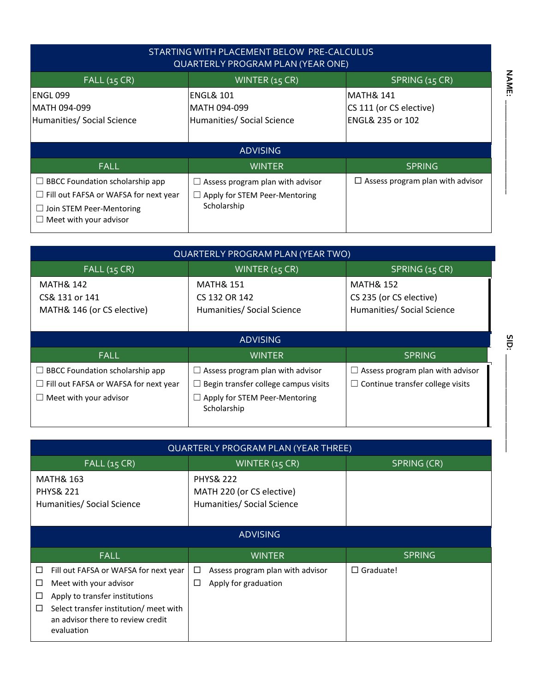| STARTING WITH PLACEMENT BELOW PRE-CALCULUS<br><b>QUARTERLY PROGRAM PLAN (YEAR ONE)</b>                                                              |                                                                                  |                                                                     |  |  |  |
|-----------------------------------------------------------------------------------------------------------------------------------------------------|----------------------------------------------------------------------------------|---------------------------------------------------------------------|--|--|--|
| FALL(15 CR)                                                                                                                                         | WINTER $(15 CR)$                                                                 | SPRING (15 CR)                                                      |  |  |  |
| ENGL 099<br>MATH 094-099<br>Humanities/ Social Science                                                                                              | <b>ENGL&amp; 101</b><br>IMATH 094-099<br>Humanities/ Social Science              | MATH& 141<br>CS 111 (or CS elective)<br><b>ENGL&amp; 235 or 102</b> |  |  |  |
|                                                                                                                                                     | <b>ADVISING</b>                                                                  |                                                                     |  |  |  |
| <b>FALL</b>                                                                                                                                         | <b>WINTER</b>                                                                    | <b>SPRING</b>                                                       |  |  |  |
| $\Box$ BBCC Foundation scholarship app<br>$\Box$ Fill out FAFSA or WAFSA for next year<br>$\Box$ Join STEM Peer-Mentoring<br>Meet with your advisor | Assess program plan with advisor<br>Apply for STEM Peer-Mentoring<br>Scholarship | $\Box$ Assess program plan with advisor                             |  |  |  |

| <b>QUARTERLY PROGRAM PLAN (YEAR TWO)</b>                                                                            |                                                                                                                                               |                                                                                    |  |  |  |
|---------------------------------------------------------------------------------------------------------------------|-----------------------------------------------------------------------------------------------------------------------------------------------|------------------------------------------------------------------------------------|--|--|--|
| FALL(15 CR)                                                                                                         | SPRING (15 CR)                                                                                                                                |                                                                                    |  |  |  |
| <b>MATH&amp; 142</b><br>CS& 131 or 141<br>MATH& 146 (or CS elective)                                                | <b>MATH&amp; 151</b><br>CS 132 OR 142<br>Humanities/ Social Science                                                                           | <b>MATH&amp; 152</b><br>CS 235 (or CS elective)<br>Humanities/ Social Science      |  |  |  |
|                                                                                                                     | <b>ADVISING</b>                                                                                                                               |                                                                                    |  |  |  |
| <b>FALL</b>                                                                                                         | <b>WINTER</b>                                                                                                                                 | SPRING                                                                             |  |  |  |
| BBCC Foundation scholarship app<br>$\Box$<br>$\Box$ Fill out FAFSA or WAFSA for next year<br>Meet with your advisor | $\Box$ Assess program plan with advisor<br>$\Box$ Begin transfer college campus visits<br>$\Box$ Apply for STEM Peer-Mentoring<br>Scholarship | $\Box$ Assess program plan with advisor<br>$\Box$ Continue transfer college visits |  |  |  |

| <b>QUARTERLY PROGRAM PLAN (YEAR THREE)</b>                                                                                                                                                                         |                                                                    |                  |  |  |  |
|--------------------------------------------------------------------------------------------------------------------------------------------------------------------------------------------------------------------|--------------------------------------------------------------------|------------------|--|--|--|
| <b>FALL (15 CR)</b><br>WINTER (15 CR)<br>SPRING (CR)                                                                                                                                                               |                                                                    |                  |  |  |  |
| <b>MATH&amp; 163</b><br><b>PHYS&amp; 221</b><br>Humanities/ Social Science                                                                                                                                         |                                                                    |                  |  |  |  |
|                                                                                                                                                                                                                    | <b>ADVISING</b>                                                    |                  |  |  |  |
| <b>FALL</b>                                                                                                                                                                                                        | <b>WINTER</b>                                                      | <b>SPRING</b>    |  |  |  |
| Fill out FAFSA or WAFSA for next year<br>□<br>Meet with your advisor<br>ப<br>Apply to transfer institutions<br>ப<br>Select transfer institution/ meet with<br>□<br>an advisor there to review credit<br>evaluation | Assess program plan with advisor<br>□<br>Apply for graduation<br>ப | $\Box$ Graduate! |  |  |  |

SID: **SID: \_\_\_\_\_\_\_\_\_\_\_\_\_\_\_\_\_\_\_\_\_\_\_**

**NAME: \_\_\_\_\_\_\_\_\_\_\_\_\_\_\_\_\_\_\_\_\_\_**

**NAME:**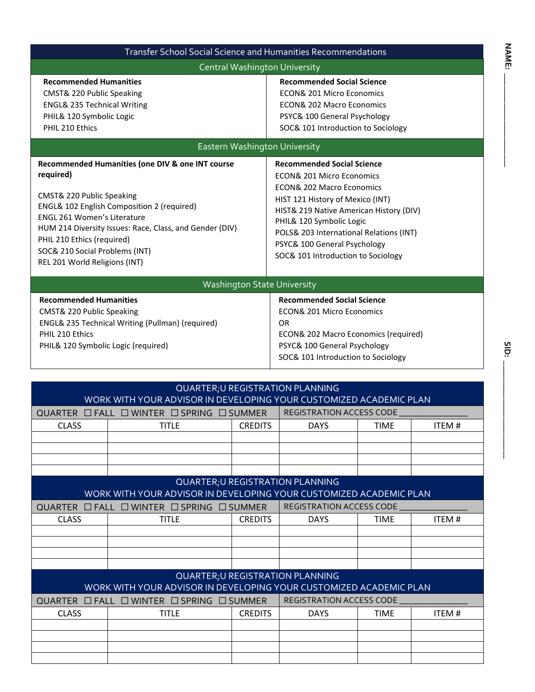| <b>Transfer School Social Science and Humanities Recommendations</b>                                                                                                                                                                                                                                                                                                       |                                      |                                                                                                                                                                                                                                                                                                                                               |             |              |  |
|----------------------------------------------------------------------------------------------------------------------------------------------------------------------------------------------------------------------------------------------------------------------------------------------------------------------------------------------------------------------------|--------------------------------------|-----------------------------------------------------------------------------------------------------------------------------------------------------------------------------------------------------------------------------------------------------------------------------------------------------------------------------------------------|-------------|--------------|--|
|                                                                                                                                                                                                                                                                                                                                                                            | <b>Central Washington University</b> |                                                                                                                                                                                                                                                                                                                                               |             |              |  |
| <b>Recommended Humanities</b><br>CMST& 220 Public Speaking<br><b>ENGL&amp; 235 Technical Writing</b><br>PHIL& 120 Symbolic Logic<br>PHIL 210 Ethics                                                                                                                                                                                                                        |                                      | <b>Recommended Social Science</b><br><b>ECON&amp; 201 Micro Economics</b><br><b>ECON&amp; 202 Macro Economics</b><br>PSYC& 100 General Psychology<br>SOC& 101 Introduction to Sociology                                                                                                                                                       |             |              |  |
|                                                                                                                                                                                                                                                                                                                                                                            | Eastern Washington University        |                                                                                                                                                                                                                                                                                                                                               |             |              |  |
| Recommended Humanities (one DIV & one INT course<br>required)<br>CMST& 220 Public Speaking<br>ENGL& 102 English Composition 2 (required)<br><b>ENGL 261 Women's Literature</b><br>HUM 214 Diversity Issues: Race, Class, and Gender (DIV)<br>PHIL 210 Ethics (required)<br>SOC& 210 Social Problems (INT)<br>REL 201 World Religions (INT)                                 |                                      | <b>Recommended Social Science</b><br><b>ECON&amp; 201 Micro Economics</b><br><b>ECON&amp; 202 Macro Economics</b><br>HIST 121 History of Mexico (INT)<br>HIST& 219 Native American History (DIV)<br>PHIL& 120 Symbolic Logic<br>POLS& 203 International Relations (INT)<br>PSYC& 100 General Psychology<br>SOC& 101 Introduction to Sociology |             |              |  |
|                                                                                                                                                                                                                                                                                                                                                                            | <b>Washington State University</b>   |                                                                                                                                                                                                                                                                                                                                               |             |              |  |
| <b>Recommended Humanities</b><br><b>Recommended Social Science</b><br><b>ECON&amp; 201 Micro Economics</b><br>CMST& 220 Public Speaking<br>ENGL& 235 Technical Writing (Pullman) (required)<br>OR.<br>PHIL 210 Ethics<br>ECON& 202 Macro Economics (required)<br>PSYC& 100 General Psychology<br>PHIL& 120 Symbolic Logic (required)<br>SOC& 101 Introduction to Sociology |                                      |                                                                                                                                                                                                                                                                                                                                               |             |              |  |
|                                                                                                                                                                                                                                                                                                                                                                            |                                      |                                                                                                                                                                                                                                                                                                                                               |             |              |  |
| WORK WITH YOUR ADVISOR IN DEVELOPING YOUR CUSTOMIZED ACADEMIC PLAN                                                                                                                                                                                                                                                                                                         |                                      | QUARTER; U REGISTRATION PLANNING                                                                                                                                                                                                                                                                                                              |             |              |  |
| QUARTER <b>OFALL OWINTER OSPRING OSUMMER</b>                                                                                                                                                                                                                                                                                                                               |                                      | REGISTRATION ACCESS CODE                                                                                                                                                                                                                                                                                                                      |             |              |  |
| <b>CLASS</b><br><b>TITLE</b>                                                                                                                                                                                                                                                                                                                                               | <b>CREDITS</b>                       | <b>DAYS</b>                                                                                                                                                                                                                                                                                                                                   | <b>TIME</b> | <b>ITEM#</b> |  |
|                                                                                                                                                                                                                                                                                                                                                                            |                                      |                                                                                                                                                                                                                                                                                                                                               |             |              |  |

|              |                                                                    |                | <b>QUARTER; U REGISTRATION PLANNING</b> |             |       |
|--------------|--------------------------------------------------------------------|----------------|-----------------------------------------|-------------|-------|
|              | WORK WITH YOUR ADVISOR IN DEVELOPING YOUR CUSTOMIZED ACADEMIC PLAN |                |                                         |             |       |
|              | QUARTER $\Box$ Fall $\Box$ WINTER $\Box$ SPRING $\Box$ SUMMER      |                | REGISTRATION ACCESS CODE                |             |       |
| <b>CLASS</b> | <b>TITLE</b>                                                       | <b>CREDITS</b> | <b>DAYS</b>                             | <b>TIME</b> | ITEM# |
|              |                                                                    |                |                                         |             |       |
|              |                                                                    |                |                                         |             |       |
|              |                                                                    |                |                                         |             |       |
|              |                                                                    |                |                                         |             |       |
|              |                                                                    |                | QUARTER; U REGISTRATION PLANNING        |             |       |
|              | WORK WITH YOUR ADVISOR IN DEVELOPING YOUR CUSTOMIZED ACADEMIC PLAN |                |                                         |             |       |
|              | QUARTER $\Box$ FALL $\Box$ WINTER $\Box$ SPRING $\Box$ SUMMER      |                | <b>REGISTRATION ACCESS CODE</b>         |             |       |
| <b>CLASS</b> | title                                                              | <b>CREDITS</b> | <b>DAYS</b>                             | <b>TIME</b> | ITEM# |
|              |                                                                    |                |                                         |             |       |
|              |                                                                    |                |                                         |             |       |
|              |                                                                    |                |                                         |             |       |
|              |                                                                    |                |                                         |             |       |